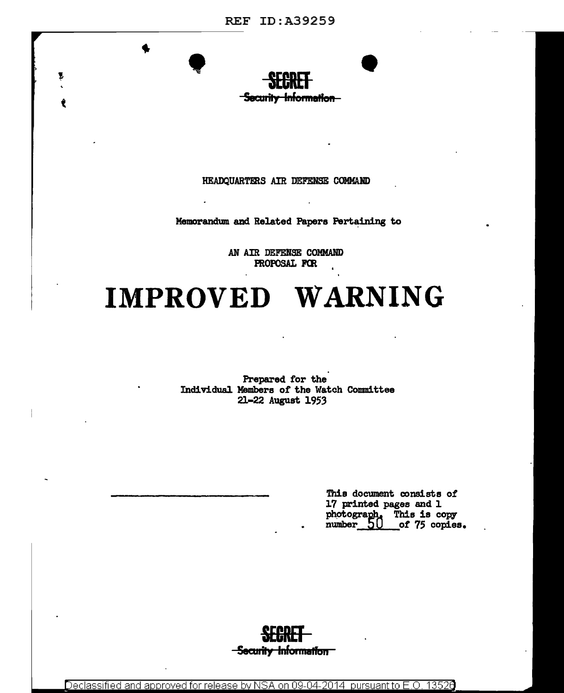

HEADQUARTERS AIR DEFENSE COMMAND

Memorandum and Related Papers Pertaining to

AN AIR DEFENSE COMMAND PROPOSAL FOR

# IMPROVED WARNING

Prepared for the Individual Members of the Watch Committee 21-22 August 1953

> This document consists of 17 printed pages and 1 photograph. This is copy<br>number\_50 \_\_of 75 copies of 75 copies.



Declassified and approved for release by NSA on 09-04-2014 pursuant to E.O. 13526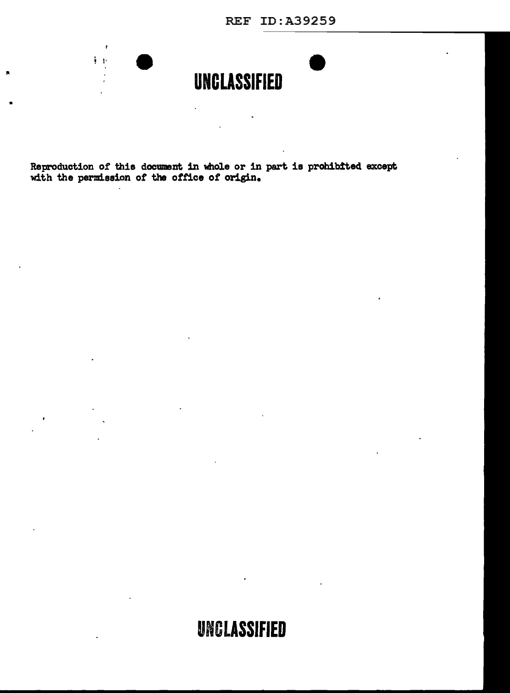REF ID:A39259



 $\ddot{\phantom{a}}$ 

Reproduction of this document in whole or in part is prohibited except with the permission of the office of origin.

 $\sim 10$ 

 $\overline{a}$ 

•

 $\blacksquare$ 

 $\mathbf{r}$  $\frac{1}{2}$  .  $\frac{1}{2}$ 

## UNCLASSIFIED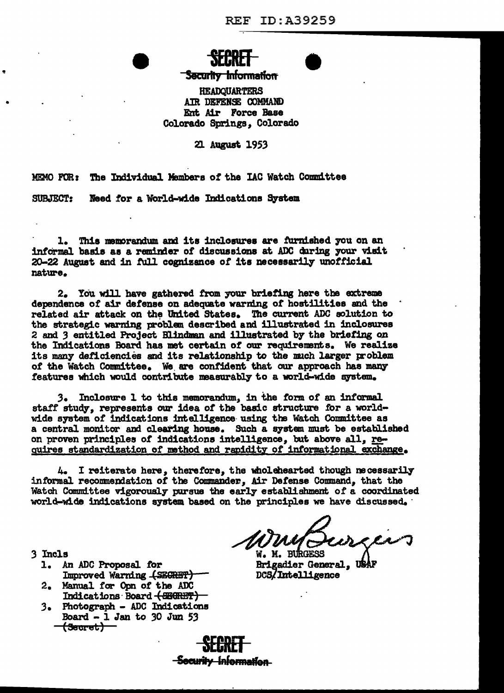## **Security Information**

**HEADQUARTERS** AIR DEFENSE COMMAND Ent Air Force Base Colorado Springs. Colorado

21 August 1953

MEMO FOR: The Individual Members of the IAC Watch Committee

SUBJECT: Need for a World-wide Indications System

1. This memorandum and its inclosures are furnished you on an informal basis as a reminder of discussions at ADC during your visit 20-22 August and in full cognizance of its necessarily unofficial nature.

2. You will have gathered from your briefing here the extreme dependence of air defense on adequate warning of hostilities and the related air attack on the United States. The current ADC solution to the strategic warning problem described and illustrated in inclosures 2 and 3 entitled Project Blindman and illustrated by the briefing on the Indications Board has met certain of our requirements. We realize its many deficiencies and its relationship to the much larger problem of the Watch Committee. We are confident that our approach has many features which would contribute measurably to a world-wide system.

3. Inclosure 1 to this memorandum, in the form of an informal staff study, represents our idea of the basic structure for a worldwide system of indications intelligence using the Watch Committee as a central monitor and clearing house. Such a system must be established on proven principles of indications intelligence, but above all, requires standardization of method and rapidity of informational exchange.

4. I reiterate here, therefore, the wholehearted though necessarily informal recommendation of the Commander, Air Defense Command, that the Watch Committee vigorously pursue the early establishment of a coordinated world-wide indications system based on the principles we have discussed.

W. M. BURGESS **Brigadier General, USA** DCS/Intelligence

- 3 Incls
	- 1. An ADC Proposal for Improved Warning (SECRET)
	- 2. Manual for Opn of the ADC Indications Board (SEGRET)
	- 3. Photograph ADC Indications Board  $-1$  Jan to 30 Jun 53 <del>(Secret)</del>

<del>-Security Information</del>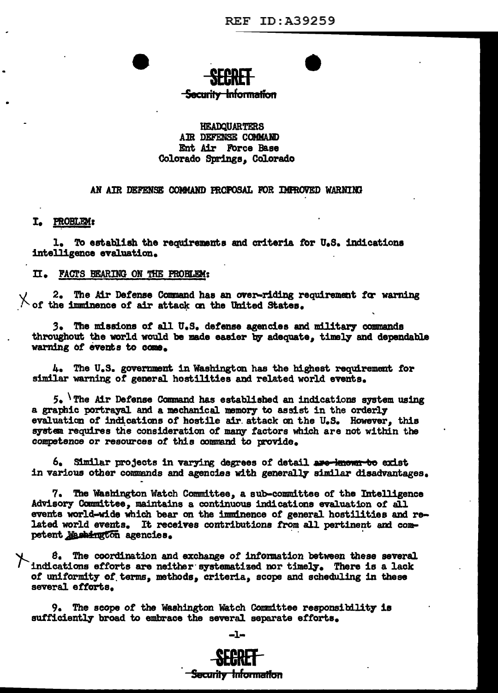# <del>-Security Information</del>

## **HEADOUARTERS** AIR DEFENSE COMMAND Ent Air Force Base Colorado Springs. Colorado

### AN AIR DEFENSE COMMAND PROPOSAL FOR IMPROVED WARNING

## I. PROBLEM:

1. To establish the requirements and criteria for U.S. indications intelligence evaluation.

### II. FACTS BEARING ON THE PROBLEM:

2. The Air Defense Command has an over-riding requirement for warning X of the imminence of air attack on the United States.

3. The missions of all U.S. defense agencies and military commands throughout the world would be made easier by adequate. timely and dependable warning of events to come.

4. The U.S. government in Washington has the highest requirement for similar warning of general hostilities and related world events.

 $5.$  The Air Defense Command has established an indications system using a graphic portrayal and a mechanical memory to assist in the orderly evaluation of indications of hostile air attack on the U.S. However, this system requires the consideration of many factors which are not within the competence or resources of this command to provide.

6. Similar projects in varying degrees of detail are known to exist in various other commands and agencies with generally similar disadvantages.

7. The Washington Watch Committee, a sub-committee of the Intelligence Advisory Committee, maintains a continuous indications evaluation of all events world-wide which bear on the imminence of general hostilities and related world events. It receives contributions from all pertinent and competent Mashington agencies.

8. The coordination and exchange of information between these several indications efforts are neither systematized nor timely. There is a lack of uniformity of terms, methods, criteria, scope and scheduling in these several efforts.

9. The scope of the Washington Watch Committee responsibility is sufficiently broad to embrace the several separate efforts.



Security Information

-1-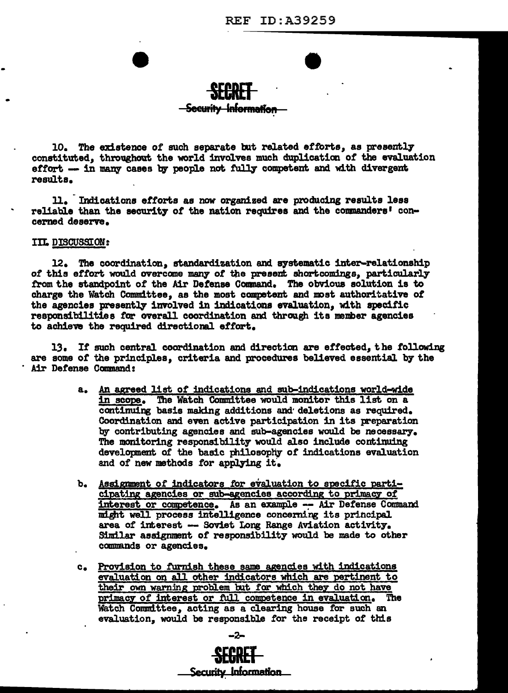## <del>Security Information</del>

10. The existence of such separate but related efforts, as presently constituted, throughout the world involves much duplication of the evaluation effort -- in many cases by people not fully competent and with divergent results.

11. Indications efforts as now organized are producing results less reliable than the security of the nation requires and the commanders' concerned deserve.

## IIL DISCUSSION:

12. The coordination, standardization and systematic inter-relationship of this effort would overcome many of the present shortcomings, particularly from the standpoint of the Air Defense Command. The obvious solution is to charge the Watch Committee, as the most competent and most authoritative of the agencies presently involved in indications evaluation, with specific responsibilities for overall coordination and through its member agencies to achieve the required directional effort.

13. If such central coordination and direction are effected, the following are some of the principles, criteria and procedures believed essential by the Air Defense Command:

- a. An agreed list of indications and sub-indications world-wide in scope. The Watch Committee would monitor this list on a continuing basis making additions and deletions as required. Coordination and even active participation in its preparation by contributing agencies and sub-agencies would be necessary. The monitoring responsibility would also include continuing development of the basic philosophy of indications evaluation and of new methods for applying it.
- b. Assignment of indicators for evaluation to specific participating agencies or sub-agencies according to primacy of interest or competence. As an example -- Air Defense Command might well process intelligence concerning its principal area of interest -- Soviet Long Range Aviation activity. Similar assignment of responsibility would be made to other commands or agencies.
- c. Provision to furnish these same agencies with indications evaluation on all other indicators which are pertinent to their own warning problem but for which they do not have primacy of interest or full competence in evaluation. The Watch Committee, acting as a clearing house for such an evaluation, would be responsible for the receipt of this

Security Information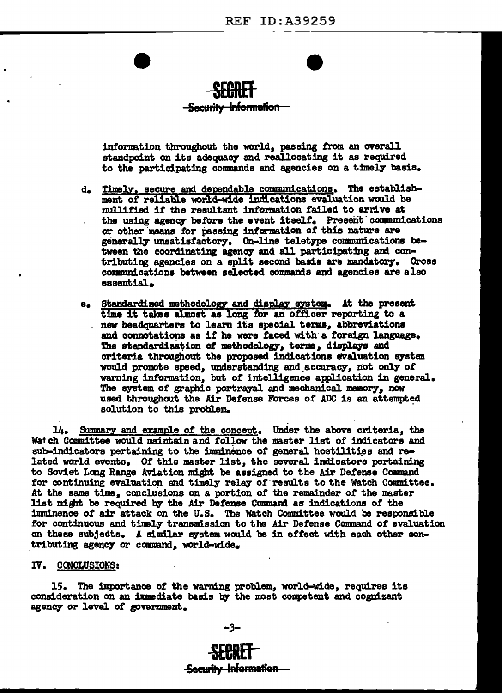

## <del>- Security Information -</del>

information throughout the world, passing from an overall standpoint on its adequacy and reallocating it as required to the participating commands and agencies on a timely basis.

- d. Timely, secure and dependable communications. The establishment of reliable world-wide indications evaluation would be mullified if the resultant information failed to arrive at the using agency before the event itself. Present communications or other means for passing information of this nature are generally unsatisfactory. On-line teletype communications between the coordinating agency and all participating and contributing agencies on a split second basis are mandatory. Cross communications between selected commands and agencies are also essential.
- e. Standardized methodology and display system. At the present time it takes almost as long for an officer reporting to a . new headquarters to learn its special terms, abbreviations and connotations as if he were faced with a foreign language. The standardization of methodology, terms, displays and criteria throughout the proposed indications evaluation system would promote speed, understanding and accuracy, not only of warning information, but of intelligence application in general. The system of graphic portrayal and mechanical memory, now used throughout the Air Defense Forces of ADC is an attempted solution to this problem.

14. Summary and example of the concept. Under the above criteria, the Watch Committee would maintain and follow the master list of indicators and sub-indicators pertaining to the imminence of general hostilities and related world events. Of this master list, the several indicators pertaining to Soviet Long Range Aviation might be assigned to the Air Defense Command for continuing evaluation and timely relay of results to the Watch Committee. At the same time, conclusions on a portion of the remainder of the master list might be required by the Air Defense Command as indications of the imminence of air attack on the U.S. The Watch Committee would be responsible for continuous and timely transmission to the Air Defense Command of evaluation on these subjects. A similar system would be in effect with each other contributing agency or command, world-wide.

## IV. CONCLUSIONS:

15. The importance of the warning problem, world-wide, requires its consideration on an immediate basis by the most competent and cognizant agency or level of government.

-3-

# **Security Information**